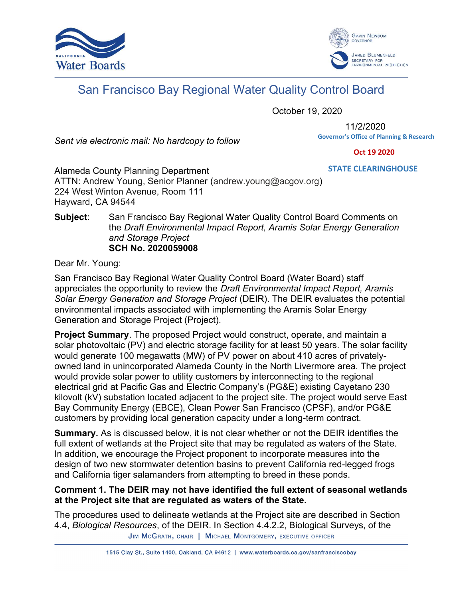



## San Francisco Bay Regional Water Quality Control Board

October 19, 2020

Sent via electronic mail: No hardcopy to follow

11/2/2020 **Governor's Office of Planning & Research**

 **Oct 19 2020**

**STATE CLEARINGHOUSE**

Alameda County Planning Department ATTN: Andrew Young, Senior Planner (andrew.young@acgov.org) 224 West Winton Avenue, Room 111 Hayward, CA 94544

## Subject: San Francisco Bay Regional Water Quality Control Board Comments on the Draft Environmental Impact Report, Aramis Solar Energy Generation and Storage Project SCH No. 2020059008

Dear Mr. Young:

San Francisco Bay Regional Water Quality Control Board (Water Board) staff appreciates the opportunity to review the Draft Environmental Impact Report, Aramis Solar Energy Generation and Storage Project (DEIR). The DEIR evaluates the potential environmental impacts associated with implementing the Aramis Solar Energy Generation and Storage Project (Project).

Project Summary. The proposed Project would construct, operate, and maintain a solar photovoltaic (PV) and electric storage facility for at least 50 years. The solar facility would generate 100 megawatts (MW) of PV power on about 410 acres of privatelyowned land in unincorporated Alameda County in the North Livermore area. The project would provide solar power to utility customers by interconnecting to the regional electrical grid at Pacific Gas and Electric Company's (PG&E) existing Cayetano 230 kilovolt (kV) substation located adjacent to the project site. The project would serve East Bay Community Energy (EBCE), Clean Power San Francisco (CPSF), and/or PG&E customers by providing local generation capacity under a long-term contract.

Summary. As is discussed below, it is not clear whether or not the DEIR identifies the full extent of wetlands at the Project site that may be regulated as waters of the State. In addition, we encourage the Project proponent to incorporate measures into the design of two new stormwater detention basins to prevent California red-legged frogs and California tiger salamanders from attempting to breed in these ponds.

## Comment 1. The DEIR may not have identified the full extent of seasonal wetlands at the Project site that are regulated as waters of the State.

The procedures used to delineate wetlands at the Project site are described in Section 4.4, Biological Resources, of the DEIR. In Section 4.4.2.2, Biological Surveys, of the JIM MCGRATH, CHAIR | MICHAEL MONTGOMERY, EXECUTIVE OFFICER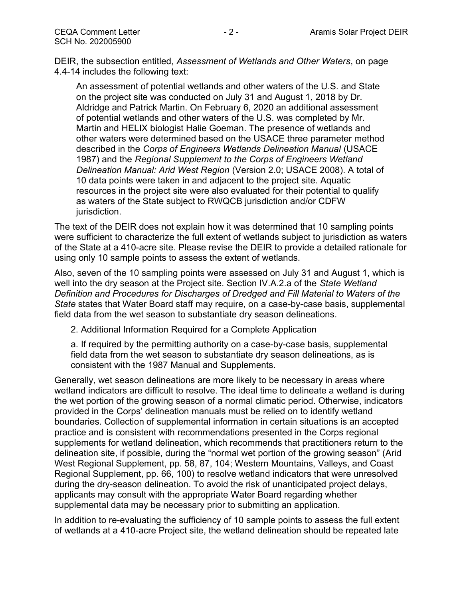DEIR, the subsection entitled, Assessment of Wetlands and Other Waters, on page 4.4-14 includes the following text:

An assessment of potential wetlands and other waters of the U.S. and State on the project site was conducted on July 31 and August 1, 2018 by Dr. Aldridge and Patrick Martin. On February 6, 2020 an additional assessment of potential wetlands and other waters of the U.S. was completed by Mr. Martin and HELIX biologist Halie Goeman. The presence of wetlands and other waters were determined based on the USACE three parameter method described in the Corps of Engineers Wetlands Delineation Manual (USACE 1987) and the Regional Supplement to the Corps of Engineers Wetland Delineation Manual: Arid West Region (Version 2.0; USACE 2008). A total of 10 data points were taken in and adjacent to the project site. Aquatic resources in the project site were also evaluated for their potential to qualify as waters of the State subject to RWQCB jurisdiction and/or CDFW jurisdiction.

The text of the DEIR does not explain how it was determined that 10 sampling points were sufficient to characterize the full extent of wetlands subject to jurisdiction as waters of the State at a 410-acre site. Please revise the DEIR to provide a detailed rationale for using only 10 sample points to assess the extent of wetlands.

Also, seven of the 10 sampling points were assessed on July 31 and August 1, which is well into the dry season at the Project site. Section IV.A.2.a of the State Wetland Definition and Procedures for Discharges of Dredged and Fill Material to Waters of the State states that Water Board staff may require, on a case-by-case basis, supplemental field data from the wet season to substantiate dry season delineations.

2. Additional Information Required for a Complete Application

a. If required by the permitting authority on a case-by-case basis, supplemental field data from the wet season to substantiate dry season delineations, as is consistent with the 1987 Manual and Supplements.

Generally, wet season delineations are more likely to be necessary in areas where wetland indicators are difficult to resolve. The ideal time to delineate a wetland is during the wet portion of the growing season of a normal climatic period. Otherwise, indicators provided in the Corps' delineation manuals must be relied on to identify wetland boundaries. Collection of supplemental information in certain situations is an accepted practice and is consistent with recommendations presented in the Corps regional supplements for wetland delineation, which recommends that practitioners return to the delineation site, if possible, during the "normal wet portion of the growing season" (Arid West Regional Supplement, pp. 58, 87, 104; Western Mountains, Valleys, and Coast Regional Supplement, pp. 66, 100) to resolve wetland indicators that were unresolved during the dry-season delineation. To avoid the risk of unanticipated project delays, applicants may consult with the appropriate Water Board regarding whether supplemental data may be necessary prior to submitting an application.

In addition to re-evaluating the sufficiency of 10 sample points to assess the full extent of wetlands at a 410-acre Project site, the wetland delineation should be repeated late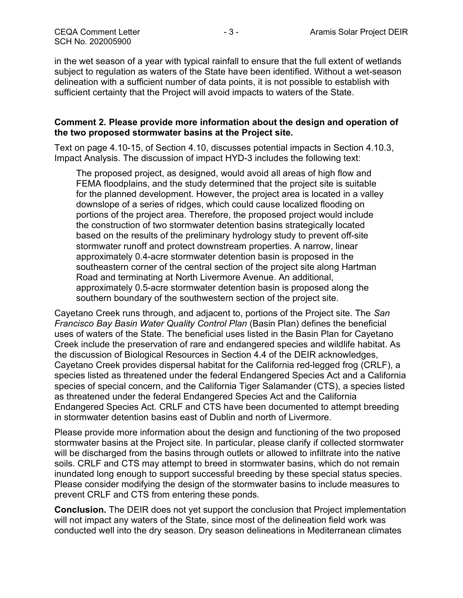in the wet season of a year with typical rainfall to ensure that the full extent of wetlands subject to regulation as waters of the State have been identified. Without a wet-season delineation with a sufficient number of data points, it is not possible to establish with sufficient certainty that the Project will avoid impacts to waters of the State.

## Comment 2. Please provide more information about the design and operation of the two proposed stormwater basins at the Project site.

Text on page 4.10-15, of Section 4.10, discusses potential impacts in Section 4.10.3, Impact Analysis. The discussion of impact HYD-3 includes the following text:

The proposed project, as designed, would avoid all areas of high flow and FEMA floodplains, and the study determined that the project site is suitable for the planned development. However, the project area is located in a valley downslope of a series of ridges, which could cause localized flooding on portions of the project area. Therefore, the proposed project would include the construction of two stormwater detention basins strategically located based on the results of the preliminary hydrology study to prevent off-site stormwater runoff and protect downstream properties. A narrow, linear approximately 0.4-acre stormwater detention basin is proposed in the southeastern corner of the central section of the project site along Hartman Road and terminating at North Livermore Avenue. An additional, approximately 0.5-acre stormwater detention basin is proposed along the southern boundary of the southwestern section of the project site.

Cayetano Creek runs through, and adjacent to, portions of the Project site. The San Francisco Bay Basin Water Quality Control Plan (Basin Plan) defines the beneficial uses of waters of the State. The beneficial uses listed in the Basin Plan for Cayetano Creek include the preservation of rare and endangered species and wildlife habitat. As the discussion of Biological Resources in Section 4.4 of the DEIR acknowledges, Cayetano Creek provides dispersal habitat for the California red-legged frog (CRLF), a species listed as threatened under the federal Endangered Species Act and a California species of special concern, and the California Tiger Salamander (CTS), a species listed as threatened under the federal Endangered Species Act and the California Endangered Species Act. CRLF and CTS have been documented to attempt breeding in stormwater detention basins east of Dublin and north of Livermore.

Please provide more information about the design and functioning of the two proposed stormwater basins at the Project site. In particular, please clarify if collected stormwater will be discharged from the basins through outlets or allowed to infiltrate into the native soils. CRLF and CTS may attempt to breed in stormwater basins, which do not remain inundated long enough to support successful breeding by these special status species. Please consider modifying the design of the stormwater basins to include measures to prevent CRLF and CTS from entering these ponds.

Conclusion. The DEIR does not yet support the conclusion that Project implementation will not impact any waters of the State, since most of the delineation field work was conducted well into the dry season. Dry season delineations in Mediterranean climates